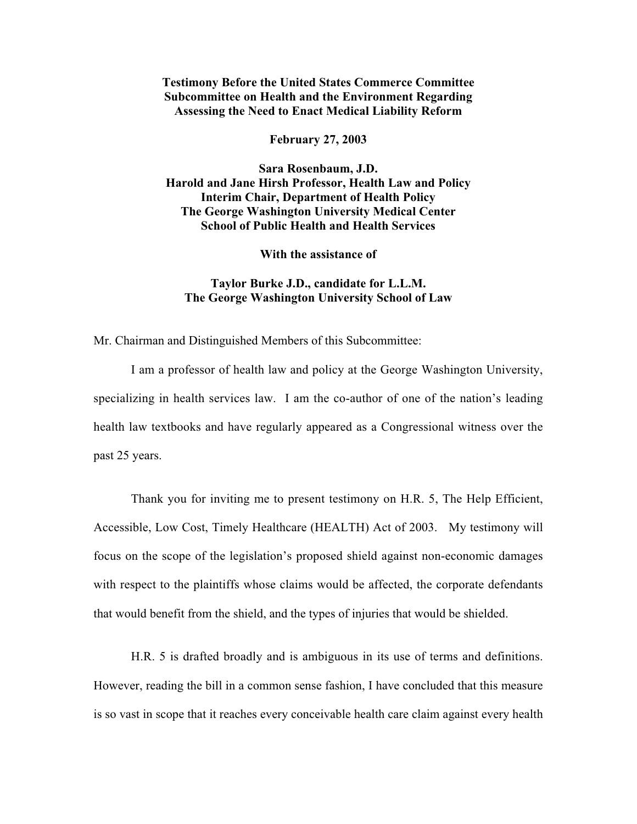**Testimony Before the United States Commerce Committee Subcommittee on Health and the Environment Regarding Assessing the Need to Enact Medical Liability Reform**

**February 27, 2003**

**Sara Rosenbaum, J.D. Harold and Jane Hirsh Professor, Health Law and Policy Interim Chair, Department of Health Policy The George Washington University Medical Center School of Public Health and Health Services**

**With the assistance of**

## **Taylor Burke J.D., candidate for L.L.M. The George Washington University School of Law**

Mr. Chairman and Distinguished Members of this Subcommittee:

I am a professor of health law and policy at the George Washington University, specializing in health services law. I am the co-author of one of the nation's leading health law textbooks and have regularly appeared as a Congressional witness over the past 25 years.

Thank you for inviting me to present testimony on H.R. 5, The Help Efficient, Accessible, Low Cost, Timely Healthcare (HEALTH) Act of 2003. My testimony will focus on the scope of the legislation's proposed shield against non-economic damages with respect to the plaintiffs whose claims would be affected, the corporate defendants that would benefit from the shield, and the types of injuries that would be shielded.

H.R. 5 is drafted broadly and is ambiguous in its use of terms and definitions. However, reading the bill in a common sense fashion, I have concluded that this measure is so vast in scope that it reaches every conceivable health care claim against every health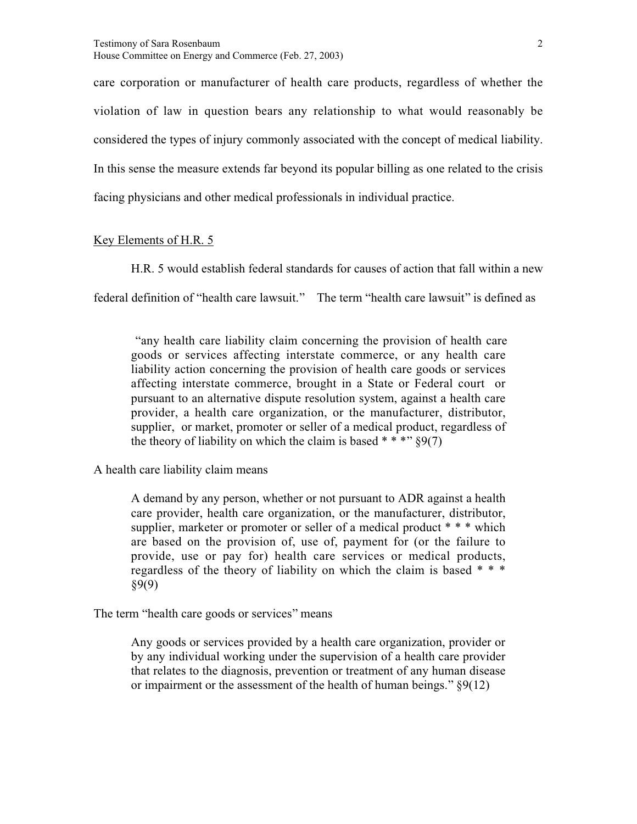care corporation or manufacturer of health care products, regardless of whether the violation of law in question bears any relationship to what would reasonably be considered the types of injury commonly associated with the concept of medical liability. In this sense the measure extends far beyond its popular billing as one related to the crisis facing physicians and other medical professionals in individual practice.

## Key Elements of H.R. 5

H.R. 5 would establish federal standards for causes of action that fall within a new federal definition of "health care lawsuit." The term "health care lawsuit" is defined as

"any health care liability claim concerning the provision of health care goods or services affecting interstate commerce, or any health care liability action concerning the provision of health care goods or services affecting interstate commerce, brought in a State or Federal court or pursuant to an alternative dispute resolution system, against a health care provider, a health care organization, or the manufacturer, distributor, supplier, or market, promoter or seller of a medical product, regardless of the theory of liability on which the claim is based  $***$   $\S 9(7)$ 

A health care liability claim means

A demand by any person, whether or not pursuant to ADR against a health care provider, health care organization, or the manufacturer, distributor, supplier, marketer or promoter or seller of a medical product \* \* \* which are based on the provision of, use of, payment for (or the failure to provide, use or pay for) health care services or medical products, regardless of the theory of liability on which the claim is based \* \* \*  $§9(9)$ 

The term "health care goods or services" means

Any goods or services provided by a health care organization, provider or by any individual working under the supervision of a health care provider that relates to the diagnosis, prevention or treatment of any human disease or impairment or the assessment of the health of human beings." §9(12)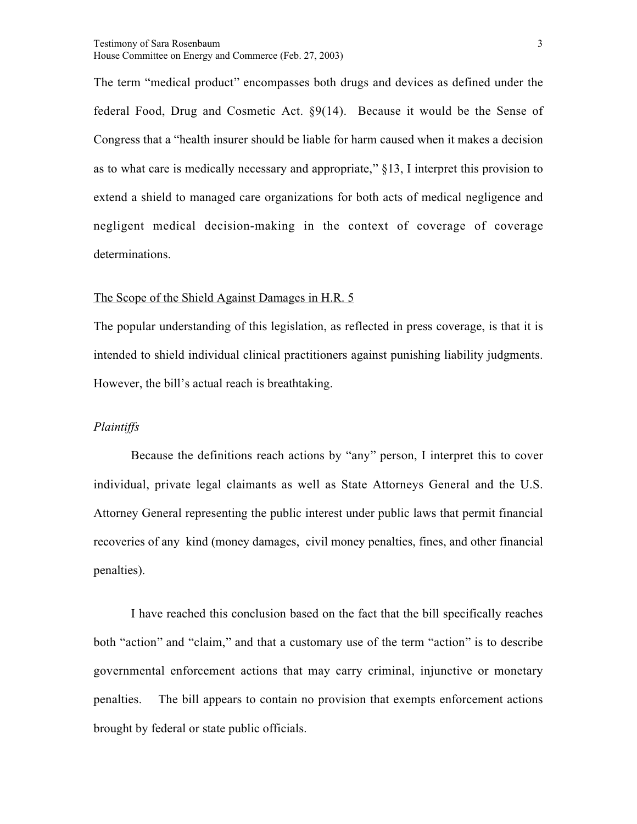The term "medical product" encompasses both drugs and devices as defined under the federal Food, Drug and Cosmetic Act. §9(14). Because it would be the Sense of Congress that a "health insurer should be liable for harm caused when it makes a decision as to what care is medically necessary and appropriate," §13, I interpret this provision to extend a shield to managed care organizations for both acts of medical negligence and negligent medical decision-making in the context of coverage of coverage determinations.

#### The Scope of the Shield Against Damages in H.R. 5

The popular understanding of this legislation, as reflected in press coverage, is that it is intended to shield individual clinical practitioners against punishing liability judgments. However, the bill's actual reach is breathtaking.

#### *Plaintiffs*

Because the definitions reach actions by "any" person, I interpret this to cover individual, private legal claimants as well as State Attorneys General and the U.S. Attorney General representing the public interest under public laws that permit financial recoveries of any kind (money damages, civil money penalties, fines, and other financial penalties).

I have reached this conclusion based on the fact that the bill specifically reaches both "action" and "claim," and that a customary use of the term "action" is to describe governmental enforcement actions that may carry criminal, injunctive or monetary penalties. The bill appears to contain no provision that exempts enforcement actions brought by federal or state public officials.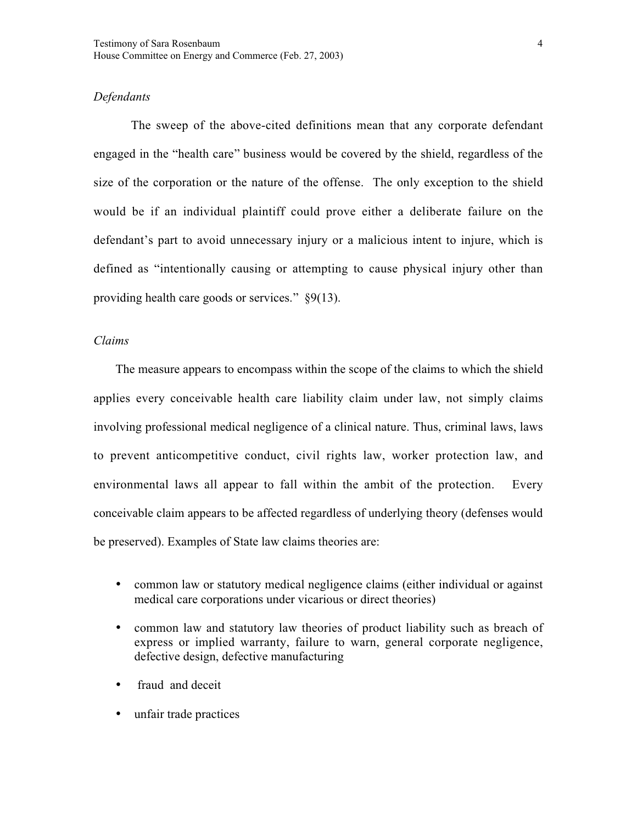## *Defendants*

The sweep of the above-cited definitions mean that any corporate defendant engaged in the "health care" business would be covered by the shield, regardless of the size of the corporation or the nature of the offense. The only exception to the shield would be if an individual plaintiff could prove either a deliberate failure on the defendant's part to avoid unnecessary injury or a malicious intent to injure, which is defined as "intentionally causing or attempting to cause physical injury other than providing health care goods or services." §9(13).

#### *Claims*

The measure appears to encompass within the scope of the claims to which the shield applies every conceivable health care liability claim under law, not simply claims involving professional medical negligence of a clinical nature. Thus, criminal laws, laws to prevent anticompetitive conduct, civil rights law, worker protection law, and environmental laws all appear to fall within the ambit of the protection. Every conceivable claim appears to be affected regardless of underlying theory (defenses would be preserved). Examples of State law claims theories are:

- common law or statutory medical negligence claims (either individual or against medical care corporations under vicarious or direct theories)
- common law and statutory law theories of product liability such as breach of express or implied warranty, failure to warn, general corporate negligence, defective design, defective manufacturing
- fraud and deceit
- unfair trade practices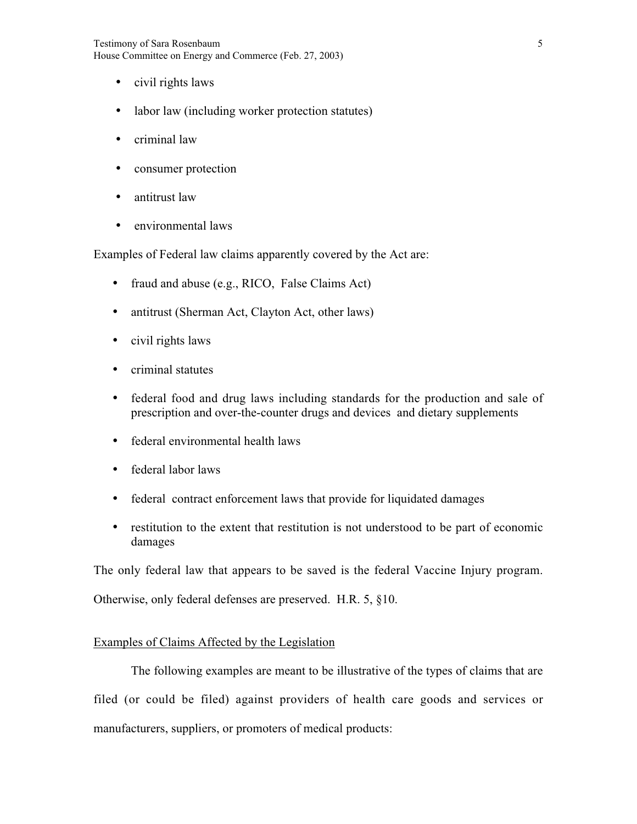Testimony of Sara Rosenbaum 5 House Committee on Energy and Commerce (Feb. 27, 2003)

- civil rights laws
- labor law (including worker protection statutes)
- criminal law
- consumer protection
- antitrust law
- environmental laws

Examples of Federal law claims apparently covered by the Act are:

- fraud and abuse (e.g., RICO, False Claims Act)
- antitrust (Sherman Act, Clayton Act, other laws)
- civil rights laws
- criminal statutes
- federal food and drug laws including standards for the production and sale of prescription and over-the-counter drugs and devices and dietary supplements
- federal environmental health laws
- federal labor laws
- federal contract enforcement laws that provide for liquidated damages
- restitution to the extent that restitution is not understood to be part of economic damages

The only federal law that appears to be saved is the federal Vaccine Injury program.

Otherwise, only federal defenses are preserved. H.R. 5, §10.

# Examples of Claims Affected by the Legislation

The following examples are meant to be illustrative of the types of claims that are filed (or could be filed) against providers of health care goods and services or manufacturers, suppliers, or promoters of medical products: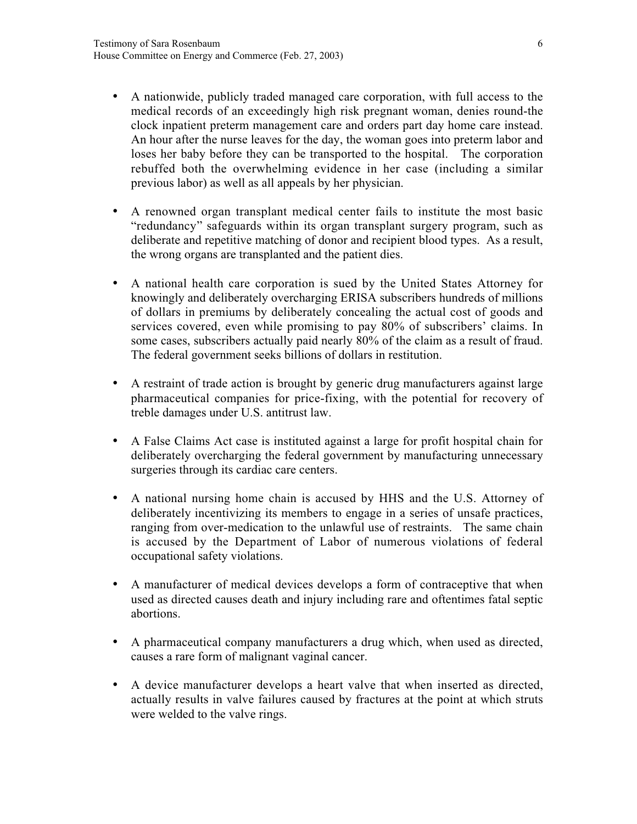- A nationwide, publicly traded managed care corporation, with full access to the medical records of an exceedingly high risk pregnant woman, denies round-the clock inpatient preterm management care and orders part day home care instead. An hour after the nurse leaves for the day, the woman goes into preterm labor and loses her baby before they can be transported to the hospital. The corporation rebuffed both the overwhelming evidence in her case (including a similar previous labor) as well as all appeals by her physician.
- A renowned organ transplant medical center fails to institute the most basic "redundancy" safeguards within its organ transplant surgery program, such as deliberate and repetitive matching of donor and recipient blood types. As a result, the wrong organs are transplanted and the patient dies.
- A national health care corporation is sued by the United States Attorney for knowingly and deliberately overcharging ERISA subscribers hundreds of millions of dollars in premiums by deliberately concealing the actual cost of goods and services covered, even while promising to pay 80% of subscribers' claims. In some cases, subscribers actually paid nearly 80% of the claim as a result of fraud. The federal government seeks billions of dollars in restitution.
- A restraint of trade action is brought by generic drug manufacturers against large pharmaceutical companies for price-fixing, with the potential for recovery of treble damages under U.S. antitrust law.
- A False Claims Act case is instituted against a large for profit hospital chain for deliberately overcharging the federal government by manufacturing unnecessary surgeries through its cardiac care centers.
- A national nursing home chain is accused by HHS and the U.S. Attorney of deliberately incentivizing its members to engage in a series of unsafe practices, ranging from over-medication to the unlawful use of restraints. The same chain is accused by the Department of Labor of numerous violations of federal occupational safety violations.
- A manufacturer of medical devices develops a form of contraceptive that when used as directed causes death and injury including rare and oftentimes fatal septic abortions.
- A pharmaceutical company manufacturers a drug which, when used as directed, causes a rare form of malignant vaginal cancer.
- A device manufacturer develops a heart valve that when inserted as directed, actually results in valve failures caused by fractures at the point at which struts were welded to the valve rings.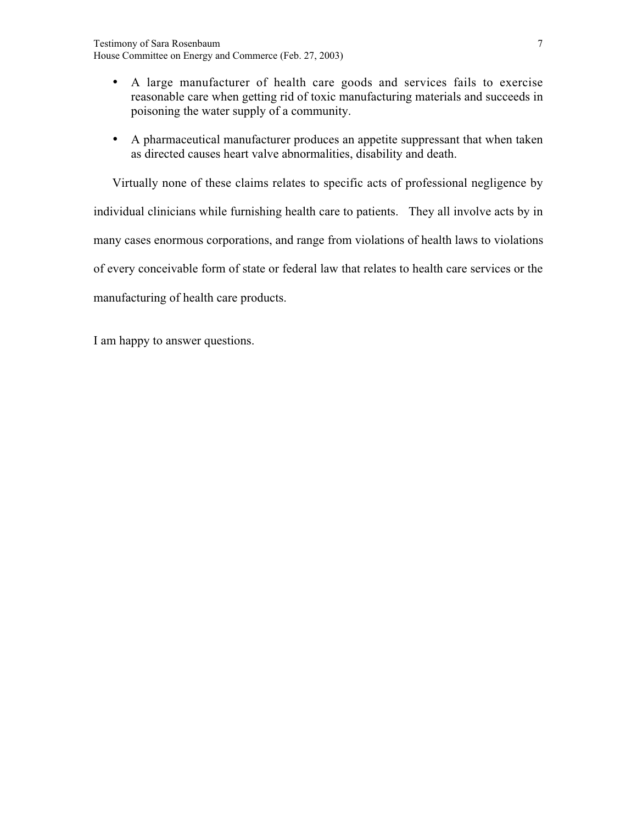- A large manufacturer of health care goods and services fails to exercise reasonable care when getting rid of toxic manufacturing materials and succeeds in poisoning the water supply of a community.
- A pharmaceutical manufacturer produces an appetite suppressant that when taken as directed causes heart valve abnormalities, disability and death.

Virtually none of these claims relates to specific acts of professional negligence by individual clinicians while furnishing health care to patients. They all involve acts by in many cases enormous corporations, and range from violations of health laws to violations of every conceivable form of state or federal law that relates to health care services or the manufacturing of health care products.

I am happy to answer questions.